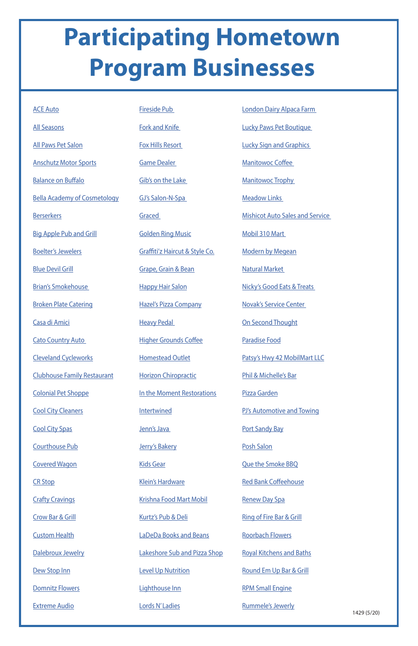## **Participating Hometown Program Businesses**

[CR Stop](https://www.facebook.com/pages/Cr-Stop/140336392670222?__tn__=K-R&eid=ARA-FJDkfgO1wbwwFB2SakIQc53zzY1VDluj4_O1mW9OJW95zL9e2hcwVoodSpy3mmXLdyAwq7suj55D&fref=mentions&__xts__[0]=68.ARB-hEF8HliQyWxmeCSA0R9auwaPREwbuzAHdaefzjfASn0HmeLFoJQ4kqZ9VP17gukr6iMkxPL3eC9sKuGj2zqvFxjigZuDPimKPOQ9R7nJ-3RqGqpVByjhJO-WRBNOgPl4by4xhHRbMC5p406aGjTc-UZcg7ofwzHJW9t5evskLVdz1YTPOSw)

**[Crafty Cravings](https://www.facebook.com/craftycraving/)** 

[Crow Bar & Grill](https://www.facebook.com/Crow-Bar-Grill-204767805258/)

[Custom Health](https://www.facebook.com/CustomHealthPharmacy/)

[Dalebroux Jewelry](https://www.facebook.com/DalebrouxJewelry/?rf=163241970360334)

| <b>ACE Auto</b>                     | <b>Fireside Pub</b>            |
|-------------------------------------|--------------------------------|
| <b>All Seasons</b>                  | <b>Fork and Knife</b>          |
| <b>All Paws Pet Salon</b>           | <b>Fox Hills Resort</b>        |
| <b>Anschutz Motor Sports</b>        | <b>Game Dealer</b>             |
| <b>Balance on Buffalo</b>           | Gib's on the Lake              |
| <b>Bella Academy of Cosmetology</b> | GJ's Salon-N-Spa               |
| <b>Berserkers</b>                   | Graced                         |
| <b>Big Apple Pub and Grill</b>      | <b>Golden Ring Music</b>       |
| <b>Boelter's Jewelers</b>           | Graffiti'z Haircut & Style Co. |
| <b>Blue Devil Grill</b>             | <b>Grape, Grain &amp; Bean</b> |
| <b>Brian's Smokehouse</b>           | <b>Happy Hair Salon</b>        |
| <b>Broken Plate Catering</b>        | <b>Hazel's Pizza Company</b>   |
| Casa di Amici                       | <b>Heavy Pedal</b>             |
| <b>Cato Country Auto</b>            | <u> Higher Grounds Coffee</u>  |
| <b>Cleveland Cycleworks</b>         | <b>Homestead Outlet</b>        |
| <b>Clubhouse Family Restaurant</b>  | <b>Horizon Chiropractic</b>    |
| <b>Colonial Pet Shoppe</b>          | In the Moment Restorations     |
| <b>Cool City Cleaners</b>           | <b>Intertwined</b>             |
| <b>Cool City Spas</b>               | Jenn's Java                    |
| <b>Courthouse Pub</b>               | <b>Jerry's Bakery</b>          |
| <b>Covered Wagon</b>                | <b>Kids Gear</b>               |

[Dew Stop Inn](https://www.facebook.com/pages/Dew-Stop-Inn/145923122099349?__tn__=K-R&eid=ARCtdBZ5AqhNFlgm7JvbYIxuIhz1SMFq3x7zyfL9_wUd0fwmjEivvaKAq5KX-NdO2YGL8VSyhRDbsUuS&fref=mentions&__xts__[0]=68.ARAFflIX_qetMUqY4qwsbwZ_31VuR5LB4Xr8G9mJoESpE4-n3zfFTSh1H36oP83OqZtbNYxMlh-OC24KpQNvIr8e8i_RvluMuKVkTs2XDUVkKVTRbjBkpSm-LQz1U_poVXxodzPGn37VG-6rCi5q_FcprMdX1iidU6VioD_V68NcjTwwxVG3crg)

[Domnitz Flowers](https://www.facebook.com/Domnitz-Flowers-LLC-101850569889591/)

[Extreme Audio](https://www.facebook.com/exaudio/)

1429 (5/20)

[Klein's Hardware](https://www.facebook.com/Klein-Hardware-1493569540875011/)

[Krishna Food Mart Mobil](http://Shorelinecu.org)

[Kurtz's Pub & Deli](https://www.facebook.com/Kurtzs-Pub-Deli-449886495455214/)

[LaDeDa Books and Beans](https://www.facebook.com/ladedabooks/)

[Lakeshore Sub and Pizza Shop](https://www.facebook.com/lakeshoresubandpizza/)

[Level Up Nutrition](https://www.facebook.com/LevelUpNutritionTR/)

[Lighthouse Inn](https://www.facebook.com/Lighthouseinntworivers/)

[Lords N' Ladies](https://www.facebook.com/Lords-N-Ladies-Salon-N-Spa-116418461705388/)

| London Dairy Alpaca Farm |  |  |
|--------------------------|--|--|
|                          |  |  |

[Lucky Paws Pet Boutique](https://www.facebook.com/luckypawspetboutique/)

[Lucky Sign and Graphics](https://www.facebook.com/luckysignsandgraphics/)

[Manitowoc Coffee](https://www.facebook.com/manitowoccoffee/)

**[Manitowoc Trophy](https://www.facebook.com/manitowoc.trophy.9/)** 

**[Meadow Links](https://www.facebook.com/pages/Meadow-Links-Golf-Course-Manitowoc-WI/351524838245780)** 

[Mishicot Auto Sales and Service](https://www.facebook.com/Mishicot-Auto-Sales-135464389837466/)

[Mobil 310 Mart](https://www.facebook.com/pages/Mobil-310-Mart/185068208244014)

[Modern by Megean](https://www.facebook.com/modernbymegean/)

[Natural Market](https://www.facebook.com/Natural-Market-315067675180175/)

[Nicky's Good Eats & Treats](https://www.facebook.com/nickysgoodeatsandtreats/)

[Novak's Service Center](https://www.facebook.com/Novaks-Service-Center-117252911667879/)

[On Second Thought](https://www.facebook.com/ON-SECOND-THOUGHT-WOMENS-CONSIGNMENT-SHOP-178544898804/)

[Paradise Food](https://www.facebook.com/ElParaisoDeLosTacosMexicanos/)

[Patsy's Hwy 42 MobilMart LLC](https://www.facebook.com/PatsysMobil/)

[Phil & Michelle's Bar](https://www.facebook.com/PhilandMichelles/)

[Pizza Garden](https://www.facebook.com/manitowocpizzagarden/)

[PJ's Automotive and Towing](https://www.facebook.com/PJs-Automotive-and-Towing-184800511549590/)

[Port Sandy Bay](https://www.facebook.com/PortSandyBay/)

[Posh Salon](https://www.facebook.com/poshonfranklin/)

[Que the Smoke BBQ](https://www.facebook.com/QueTheSmoke/)

[Red Bank Coffeehouse](https://www.facebook.com/RedBankCofffeehouse/?fref=ts)

[Renew Day Spa](https://www.facebook.com/renew.manitowoc/)

[Ring of Fire Bar & Grill](https://www.facebook.com/Ring-of-Fire-Bar-Grill-247052005997813/)

[Roorbach Flowers](https://www.facebook.com/RoorbachFlowers/)

[Royal Kitchens and Baths](https://www.facebook.com/RKBimprovements/)

[Round Em Up Bar & Grill](https://www.facebook.com/roundemupbar/)

RPM Small Engine

[Rummele's Jewerly](https://www.facebook.com/Rummeles-Fine-Jewelry-248991716330/)